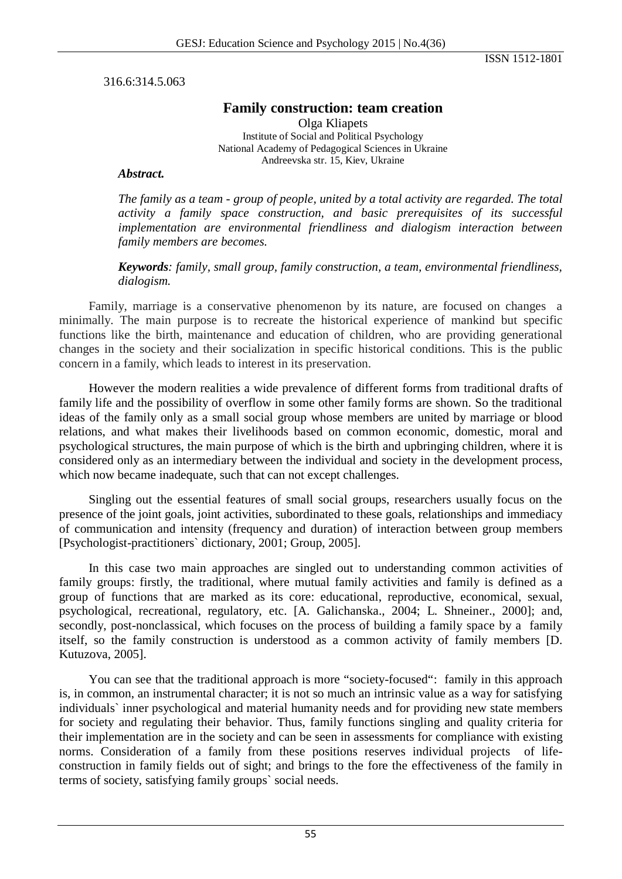ISSN 1512-1801

316.6:314.5.063

# **Family construction: team creation**

Olga Kliapets Institute of Social and Political Psychology National Academy of Pedagogical Sciences in Ukraine Andreevska str. 15, Kiev, Ukraine

### *Abstract.*

*The family as a team - group of people, united by a total activity are regarded. The total activity a family space construction, and basic prerequisites of its successful implementation are environmental friendliness and dialogism interaction between family members are becomes.*

*Keywords: family, small group, family construction, a team, environmental friendliness, dialogism.*

Family, marriage is a conservative phenomenon by its nature, are focused on changes a minimally. The main purpose is to recreate the historical experience of mankind but specific functions like the birth, maintenance and education of children, who are providing generational changes in the society and their socialization in specific historical conditions. This is the public concern in a family, which leads to interest in its preservation.

However the modern realities a wide prevalence of different forms from traditional drafts of family life and the possibility of overflow in some other family forms are shown. So the traditional ideas of the family only as a small social group whose members are united by marriage or blood relations, and what makes their livelihoods based on common economic, domestic, moral and psychological structures, the main purpose of which is the birth and upbringing children, where it is considered only as an intermediary between the individual and society in the development process, which now became inadequate, such that can not except challenges.

Singling out the essential features of small social groups, researchers usually focus on the presence of the joint goals, joint activities, subordinated to these goals, relationships and immediacy of communication and intensity (frequency and duration) of interaction between group members [Psychologist-practitioners` dictionary, 2001; Group, 2005].

In this case two main approaches are singled out to understanding common activities of family groups: firstly, the traditional, where mutual family activities and family is defined as a group of functions that are marked as its core: educational, reproductive, economical, sexual, psychological, recreational, regulatory, etc. [A. Galichanska., 2004; L. Shneiner., 2000]; and, secondly, post-nonclassical, which focuses on the process of building a family space by a family itself, so the family construction is understood as a common activity of family members [D. Kutuzova, 2005].

You can see that the traditional approach is more "society-focused": family in this approach is, in common, an instrumental character; it is not so much an intrinsic value as a way for satisfying individuals` inner psychological and material humanity needs and for providing new state members for society and regulating their behavior. Thus, family functions singling and quality criteria for their implementation are in the society and can be seen in assessments for compliance with existing norms. Consideration of a family from these positions reserves individual projects of lifeconstruction in family fields out of sight; and brings to the fore the effectiveness of the family in terms of society, satisfying family groups` social needs.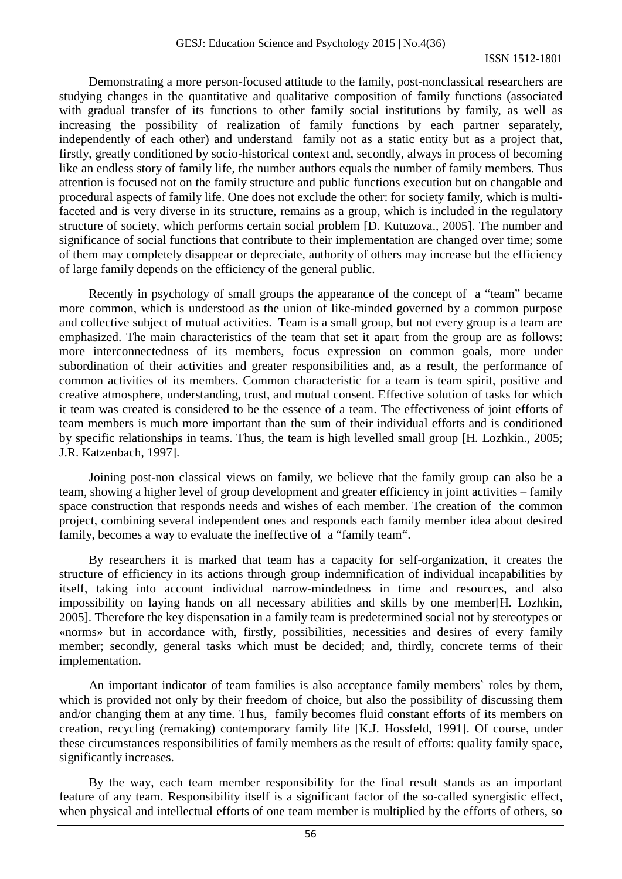#### ISSN 1512-1801

Demonstrating a more person-focused attitude to the family, post-nonclassical researchers are studying changes in the quantitative and qualitative composition of family functions (associated with gradual transfer of its functions to other family social institutions by family, as well as increasing the possibility of realization of family functions by each partner separately, independently of each other) and understand family not as a static entity but as a project that, firstly, greatly conditioned by socio-historical context and, secondly, always in process of becoming like an endless story of family life, the number authors equals the number of family members. Thus attention is focused not on the family structure and public functions execution but on changable and procedural aspects of family life. One does not exclude the other: for society family, which is multifaceted and is very diverse in its structure, remains as a group, which is included in the regulatory structure of society, which performs certain social problem [D. Kutuzova., 2005]. The number and significance of social functions that contribute to their implementation are changed over time; some of them may completely disappear or depreciate, authority of others may increase but the efficiency of large family depends on the efficiency of the general public.

Recently in psychology of small groups the appearance of the concept of a "team" became more common, which is understood as the union of like-minded governed by a common purpose and collective subject of mutual activities. Team is a small group, but not every group is a team are emphasized. The main characteristics of the team that set it apart from the group are as follows: more interconnectedness of its members, focus expression on common goals, more under subordination of their activities and greater responsibilities and, as a result, the performance of common activities of its members. Common characteristic for a team is team spirit, positive and creative atmosphere, understanding, trust, and mutual consent. Effective solution of tasks for which it team was created is considered to be the essence of a team. The effectiveness of joint efforts of team members is much more important than the sum of their individual efforts and is conditioned by specific relationships in teams. Thus, the team is high levelled small group [H. Lozhkin., 2005; J.R. Katzenbach, 1997].

Joining post-non classical views on family, we believe that the family group can also be a team, showing a higher level of group development and greater efficiency in joint activities – family space construction that responds needs and wishes of each member. The creation of the common project, combining several independent ones and responds each family member idea about desired family, becomes a way to evaluate the ineffective of a "family team".

By researchers it is marked that team has a capacity for self-organization, it creates the structure of efficiency in its actions through group indemnification of individual incapabilities by itself, taking into account individual narrow-mindedness in time and resources, and also impossibility on laying hands on all necessary abilities and skills by one member[H. Lozhkin, 2005]. Therefore the key dispensation in a family team is predetermined social not by stereotypes or «norms» but in accordance with, firstly, possibilities, necessities and desires of every family member; secondly, general tasks which must be decided; and, thirdly, concrete terms of their implementation.

An important indicator of team families is also acceptance family members` roles by them, which is provided not only by their freedom of choice, but also the possibility of discussing them and/or changing them at any time. Thus, family becomes fluid constant efforts of its members on creation, recycling (remaking) contemporary family life [K.J. Hossfeld, 1991]. Of course, under these circumstances responsibilities of family members as the result of efforts: quality family space, significantly increases.

By the way, each team member responsibility for the final result stands as an important feature of any team. Responsibility itself is a significant factor of the so-called synergistic effect, when physical and intellectual efforts of one team member is multiplied by the efforts of others, so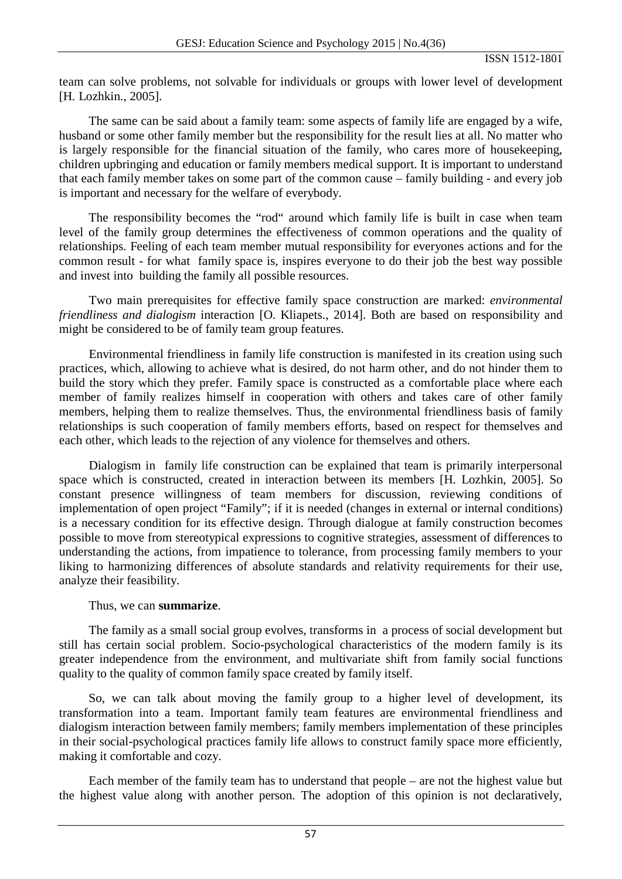### ISSN 1512-1801

team can solve problems, not solvable for individuals or groups with lower level of development [H. Lozhkin., 2005].

The same can be said about a family team: some aspects of family life are engaged by a wife, husband or some other family member but the responsibility for the result lies at all. No matter who is largely responsible for the financial situation of the family, who cares more of housekeeping, children upbringing and education or family members medical support. It is important to understand that each family member takes on some part of the common cause – family building - and every job is important and necessary for the welfare of everybody.

The responsibility becomes the "rod" around which family life is built in case when team level of the family group determines the effectiveness of common operations and the quality of relationships. Feeling of each team member mutual responsibility for everyones actions and for the common result - for what family space is, inspires everyone to do their job the best way possible and invest into building the family all possible resources.

Two main prerequisites for effective family space construction are marked: *environmental friendliness and dialogism* interaction [O. Kliapets., 2014]. Both are based on responsibility and might be considered to be of family team group features.

Environmental friendliness in family life construction is manifested in its creation using such practices, which, allowing to achieve what is desired, do not harm other, and do not hinder them to build the story which they prefer. Family space is constructed as a comfortable place where each member of family realizes himself in cooperation with others and takes care of other family members, helping them to realize themselves. Thus, the environmental friendliness basis of family relationships is such cooperation of family members efforts, based on respect for themselves and each other, which leads to the rejection of any violence for themselves and others.

Dialogism in family life construction can be explained that team is primarily interpersonal space which is constructed, created in interaction between its members [H. Lozhkin, 2005]. So constant presence willingness of team members for discussion, reviewing conditions of implementation of open project "Family"; if it is needed (changes in external or internal conditions) is a necessary condition for its effective design. Through dialogue at family construction becomes possible to move from stereotypical expressions to cognitive strategies, assessment of differences to understanding the actions, from impatience to tolerance, from processing family members to your liking to harmonizing differences of absolute standards and relativity requirements for their use, analyze their feasibility.

### Thus, we can **summarize**.

The family as a small social group evolves, transforms in a process of social development but still has certain social problem. Socio-psychological characteristics of the modern family is its greater independence from the environment, and multivariate shift from family social functions quality to the quality of common family space created by family itself.

So, we can talk about moving the family group to a higher level of development, its transformation into a team. Important family team features are environmental friendliness and dialogism interaction between family members; family members implementation of these principles in their social-psychological practices family life allows to construct family space more efficiently, making it comfortable and cozy.

Each member of the family team has to understand that people – are not the highest value but the highest value along with another person. The adoption of this opinion is not declaratively,